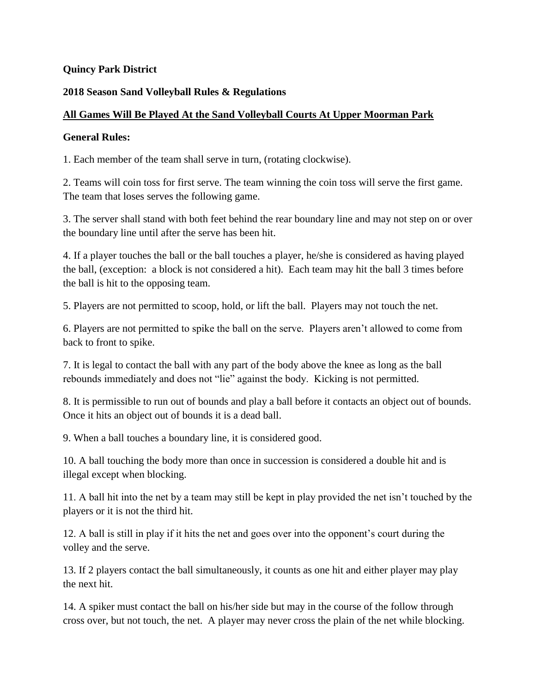### **Quincy Park District**

### **2018 Season Sand Volleyball Rules & Regulations**

### **All Games Will Be Played At the Sand Volleyball Courts At Upper Moorman Park**

### **General Rules:**

1. Each member of the team shall serve in turn, (rotating clockwise).

2. Teams will coin toss for first serve. The team winning the coin toss will serve the first game. The team that loses serves the following game.

3. The server shall stand with both feet behind the rear boundary line and may not step on or over the boundary line until after the serve has been hit.

4. If a player touches the ball or the ball touches a player, he/she is considered as having played the ball, (exception: a block is not considered a hit). Each team may hit the ball 3 times before the ball is hit to the opposing team.

5. Players are not permitted to scoop, hold, or lift the ball. Players may not touch the net.

6. Players are not permitted to spike the ball on the serve. Players aren't allowed to come from back to front to spike.

7. It is legal to contact the ball with any part of the body above the knee as long as the ball rebounds immediately and does not "lie" against the body. Kicking is not permitted.

8. It is permissible to run out of bounds and play a ball before it contacts an object out of bounds. Once it hits an object out of bounds it is a dead ball.

9. When a ball touches a boundary line, it is considered good.

10. A ball touching the body more than once in succession is considered a double hit and is illegal except when blocking.

11. A ball hit into the net by a team may still be kept in play provided the net isn't touched by the players or it is not the third hit.

12. A ball is still in play if it hits the net and goes over into the opponent's court during the volley and the serve.

13. If 2 players contact the ball simultaneously, it counts as one hit and either player may play the next hit.

14. A spiker must contact the ball on his/her side but may in the course of the follow through cross over, but not touch, the net. A player may never cross the plain of the net while blocking.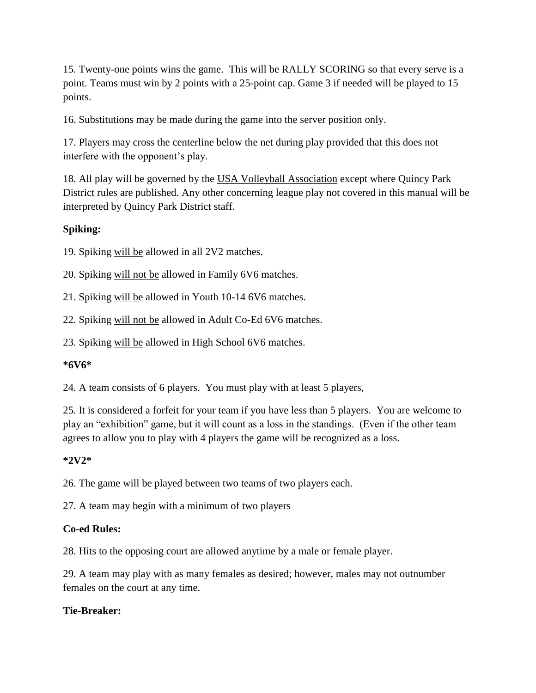15. Twenty-one points wins the game. This will be RALLY SCORING so that every serve is a point. Teams must win by 2 points with a 25-point cap. Game 3 if needed will be played to 15 points.

16. Substitutions may be made during the game into the server position only.

17. Players may cross the centerline below the net during play provided that this does not interfere with the opponent's play.

18. All play will be governed by the USA Volleyball Association except where Quincy Park District rules are published. Any other concerning league play not covered in this manual will be interpreted by Quincy Park District staff.

# **Spiking:**

19. Spiking will be allowed in all 2V2 matches.

20. Spiking will not be allowed in Family 6V6 matches.

21. Spiking will be allowed in Youth 10-14 6V6 matches.

22. Spiking will not be allowed in Adult Co-Ed 6V6 matches.

23. Spiking will be allowed in High School 6V6 matches.

### **\*6V6\***

24. A team consists of 6 players. You must play with at least 5 players,

25. It is considered a forfeit for your team if you have less than 5 players. You are welcome to play an "exhibition" game, but it will count as a loss in the standings. (Even if the other team agrees to allow you to play with 4 players the game will be recognized as a loss.

### **\*2V2\***

26. The game will be played between two teams of two players each.

27. A team may begin with a minimum of two players

### **Co-ed Rules:**

28. Hits to the opposing court are allowed anytime by a male or female player.

29. A team may play with as many females as desired; however, males may not outnumber females on the court at any time.

### **Tie-Breaker:**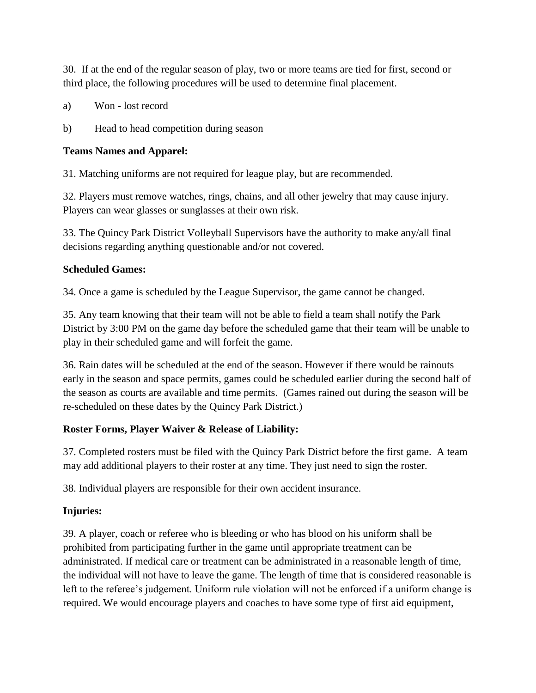30. If at the end of the regular season of play, two or more teams are tied for first, second or third place, the following procedures will be used to determine final placement.

- a) Won lost record
- b) Head to head competition during season

## **Teams Names and Apparel:**

31. Matching uniforms are not required for league play, but are recommended.

32. Players must remove watches, rings, chains, and all other jewelry that may cause injury. Players can wear glasses or sunglasses at their own risk.

33. The Quincy Park District Volleyball Supervisors have the authority to make any/all final decisions regarding anything questionable and/or not covered.

## **Scheduled Games:**

34. Once a game is scheduled by the League Supervisor, the game cannot be changed.

35. Any team knowing that their team will not be able to field a team shall notify the Park District by 3:00 PM on the game day before the scheduled game that their team will be unable to play in their scheduled game and will forfeit the game.

36. Rain dates will be scheduled at the end of the season. However if there would be rainouts early in the season and space permits, games could be scheduled earlier during the second half of the season as courts are available and time permits. (Games rained out during the season will be re-scheduled on these dates by the Quincy Park District.)

# **Roster Forms, Player Waiver & Release of Liability:**

37. Completed rosters must be filed with the Quincy Park District before the first game. A team may add additional players to their roster at any time. They just need to sign the roster.

38. Individual players are responsible for their own accident insurance.

# **Injuries:**

39. A player, coach or referee who is bleeding or who has blood on his uniform shall be prohibited from participating further in the game until appropriate treatment can be administrated. If medical care or treatment can be administrated in a reasonable length of time, the individual will not have to leave the game. The length of time that is considered reasonable is left to the referee's judgement. Uniform rule violation will not be enforced if a uniform change is required. We would encourage players and coaches to have some type of first aid equipment,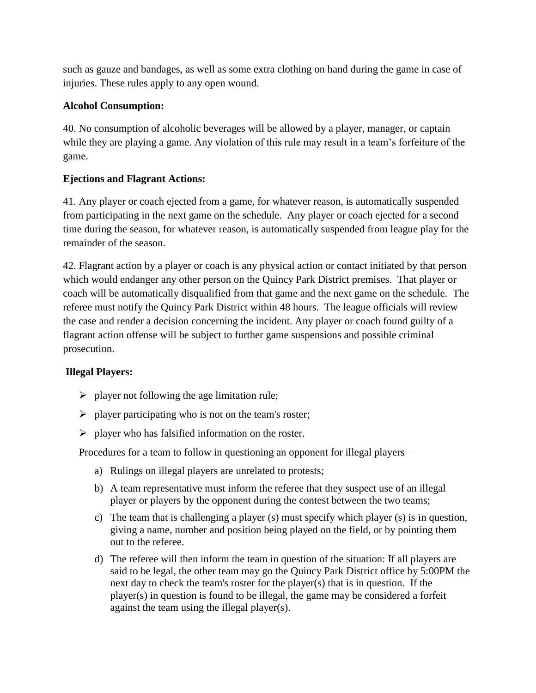such as gauze and bandages, as well as some extra clothing on hand during the game in case of injuries. These rules apply to any open wound.

## **Alcohol Consumption:**

40. No consumption of alcoholic beverages will be allowed by a player, manager, or captain while they are playing a game. Any violation of this rule may result in a team's forfeiture of the game.

## **Ejections and Flagrant Actions:**

41. Any player or coach ejected from a game, for whatever reason, is automatically suspended from participating in the next game on the schedule. Any player or coach ejected for a second time during the season, for whatever reason, is automatically suspended from league play for the remainder of the season.

42. Flagrant action by a player or coach is any physical action or contact initiated by that person which would endanger any other person on the Quincy Park District premises. That player or coach will be automatically disqualified from that game and the next game on the schedule. The referee must notify the Quincy Park District within 48 hours. The league officials will review the case and render a decision concerning the incident. Any player or coach found guilty of a flagrant action offense will be subject to further game suspensions and possible criminal prosecution.

# **Illegal Players:**

- $\triangleright$  player not following the age limitation rule;
- $\triangleright$  player participating who is not on the team's roster;
- $\triangleright$  player who has falsified information on the roster.

Procedures for a team to follow in questioning an opponent for illegal players –

- a) Rulings on illegal players are unrelated to protests;
- b) A team representative must inform the referee that they suspect use of an illegal player or players by the opponent during the contest between the two teams;
- c) The team that is challenging a player (s) must specify which player (s) is in question, giving a name, number and position being played on the field, or by pointing them out to the referee.
- d) The referee will then inform the team in question of the situation: If all players are said to be legal, the other team may go the Quincy Park District office by 5:00PM the next day to check the team's roster for the player(s) that is in question. If the player(s) in question is found to be illegal, the game may be considered a forfeit against the team using the illegal player(s).